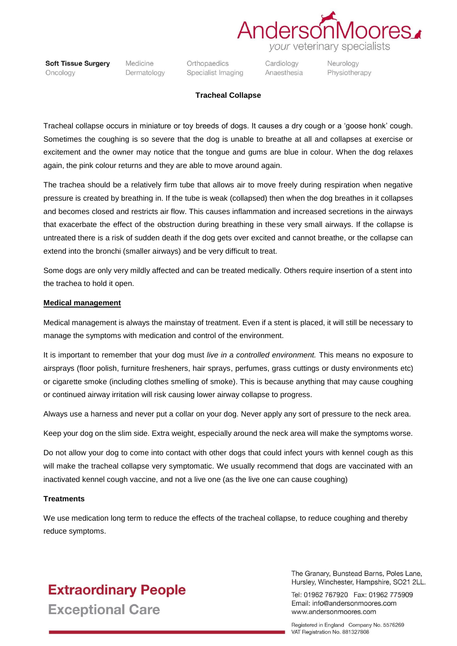

**Soft Tissue Surgery** Oncology

Medicine Dermatology

Orthopaedics Specialist Imaging Cardiology Anaesthesia

Neurology Physiotherapy

#### **Tracheal Collapse**

Tracheal collapse occurs in miniature or toy breeds of dogs. It causes a dry cough or a 'goose honk' cough. Sometimes the coughing is so severe that the dog is unable to breathe at all and collapses at exercise or excitement and the owner may notice that the tongue and gums are blue in colour. When the dog relaxes again, the pink colour returns and they are able to move around again.

The trachea should be a relatively firm tube that allows air to move freely during respiration when negative pressure is created by breathing in. If the tube is weak (collapsed) then when the dog breathes in it collapses and becomes closed and restricts air flow. This causes inflammation and increased secretions in the airways that exacerbate the effect of the obstruction during breathing in these very small airways. If the collapse is untreated there is a risk of sudden death if the dog gets over excited and cannot breathe, or the collapse can extend into the bronchi (smaller airways) and be very difficult to treat.

Some dogs are only very mildly affected and can be treated medically. Others require insertion of a stent into the trachea to hold it open.

#### **Medical management**

Medical management is always the mainstay of treatment. Even if a stent is placed, it will still be necessary to manage the symptoms with medication and control of the environment.

It is important to remember that your dog must *live in a controlled environment.* This means no exposure to airsprays (floor polish, furniture fresheners, hair sprays, perfumes, grass cuttings or dusty environments etc) or cigarette smoke (including clothes smelling of smoke). This is because anything that may cause coughing or continued airway irritation will risk causing lower airway collapse to progress.

Always use a harness and never put a collar on your dog. Never apply any sort of pressure to the neck area.

Keep your dog on the slim side. Extra weight, especially around the neck area will make the symptoms worse.

Do not allow your dog to come into contact with other dogs that could infect yours with kennel cough as this will make the tracheal collapse very symptomatic. We usually recommend that dogs are vaccinated with an inactivated kennel cough vaccine, and not a live one (as the live one can cause coughing)

#### **Treatments**

We use medication long term to reduce the effects of the tracheal collapse, to reduce coughing and thereby reduce symptoms.

### **Extraordinary People Exceptional Care**

The Granary, Bunstead Barns, Poles Lane. Hursley, Winchester, Hampshire, SO21 2LL.

Tel: 01962 767920 Fax: 01962 775909 Email: info@andersonmoores.com www.andersonmoores.com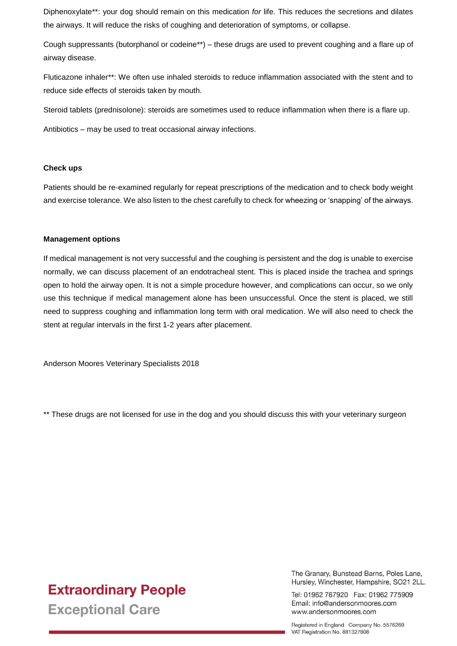Diphenoxylate\*\*: your dog should remain on this medication *for* life. This reduces the secretions and dilates the airways. It will reduce the risks of coughing and deterioration of symptoms, or collapse.

Cough suppressants (butorphanol or codeine\*\*) – these drugs are used to prevent coughing and a flare up of airway disease.

Fluticazone inhaler\*\*: We often use inhaled steroids to reduce inflammation associated with the stent and to reduce side effects of steroids taken by mouth.

Steroid tablets (prednisolone): steroids are sometimes used to reduce inflammation when there is a flare up.

Antibiotics – may be used to treat occasional airway infections.

#### **Check ups**

Patients should be re-examined regularly for repeat prescriptions of the medication and to check body weight and exercise tolerance. We also listen to the chest carefully to check for wheezing or 'snapping' of the airways.

#### **Management options**

If medical management is not very successful and the coughing is persistent and the dog is unable to exercise normally, we can discuss placement of an endotracheal stent. This is placed inside the trachea and springs open to hold the airway open. It is not a simple procedure however, and complications can occur, so we only use this technique if medical management alone has been unsuccessful. Once the stent is placed, we still need to suppress coughing and inflammation long term with oral medication. We will also need to check the stent at regular intervals in the first 1-2 years after placement.

Anderson Moores Veterinary Specialists 2018

\*\* These drugs are not licensed for use in the dog and you should discuss this with your veterinary surgeon

# **Extraordinary People**

**Exceptional Care** 

The Granary. Bunstead Barns. Poles Lane. Hursley, Winchester, Hampshire, SO21 2LL.

Tel: 01962 767920 Fax: 01962 775909 Email: info@andersonmoores.com www.andersonmoores.com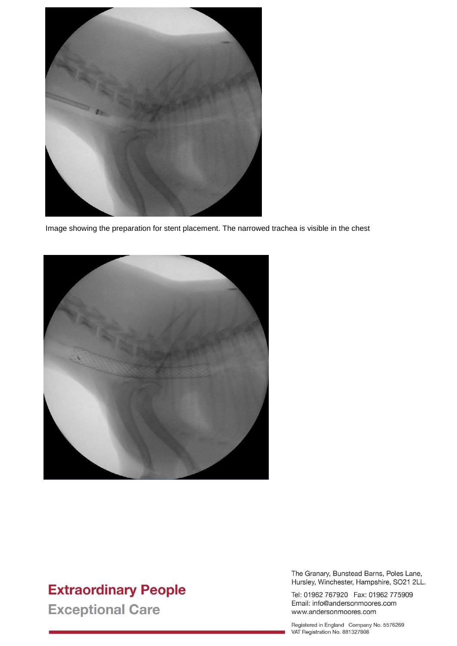

Image showing the preparation for stent placement. The narrowed trachea is visible in the chest



## **Extraordinary People**

**Exceptional Care** 

The Granary, Bunstead Barns, Poles Lane, Hursley, Winchester, Hampshire, SO21 2LL.

Tel: 01962 767920 Fax: 01962 775909 Email: info@andersonmoores.com www.andersonmoores.com